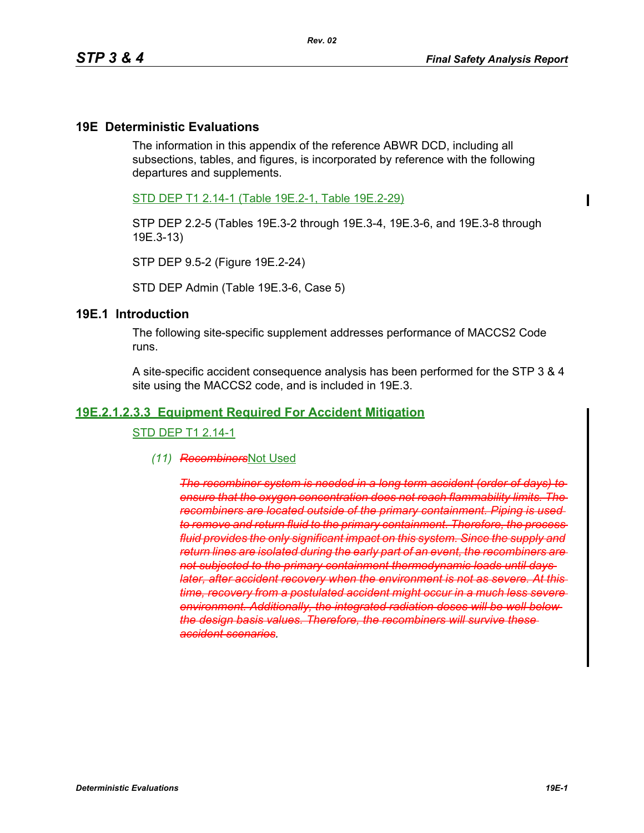#### **19E Deterministic Evaluations**

The information in this appendix of the reference ABWR DCD, including all subsections, tables, and figures, is incorporated by reference with the following departures and supplements.

STD DEP T1 2.14-1 (Table 19E.2-1, Table 19E.2-29)

STP DEP 2.2-5 (Tables 19E.3-2 through 19E.3-4, 19E.3-6, and 19E.3-8 through 19E.3-13)

STP DEP 9.5-2 (Figure 19E.2-24)

STD DEP Admin (Table 19E.3-6, Case 5)

#### **19E.1 Introduction**

The following site-specific supplement addresses performance of MACCS2 Code runs.

A site-specific accident consequence analysis has been performed for the STP 3 & 4 site using the MACCS2 code, and is included in 19E.3.

#### **19E.2.1.2.3.3 Equipment Required For Accident Mitigation**

STD DEP T1 2.14-1

*(11) Recombiners*Not Used

*The recombiner system is needed in a long term accident (order of days) to ensure that the oxygen concentration does not reach flammability limits. The recombiners are located outside of the primary containment. Piping is used to remove and return fluid to the primary containment. Therefore, the process fluid provides the only significant impact on this system. Since the supply and return lines are isolated during the early part of an event, the recombiners are not subjected to the primary containment thermodynamic loads until days later, after accident recovery when the environment is not as severe. At this time, recovery from a postulated accident might occur in a much less severe environment. Additionally, the integrated radiation doses will be well below the design basis values. Therefore, the recombiners will survive these accident scenarios.*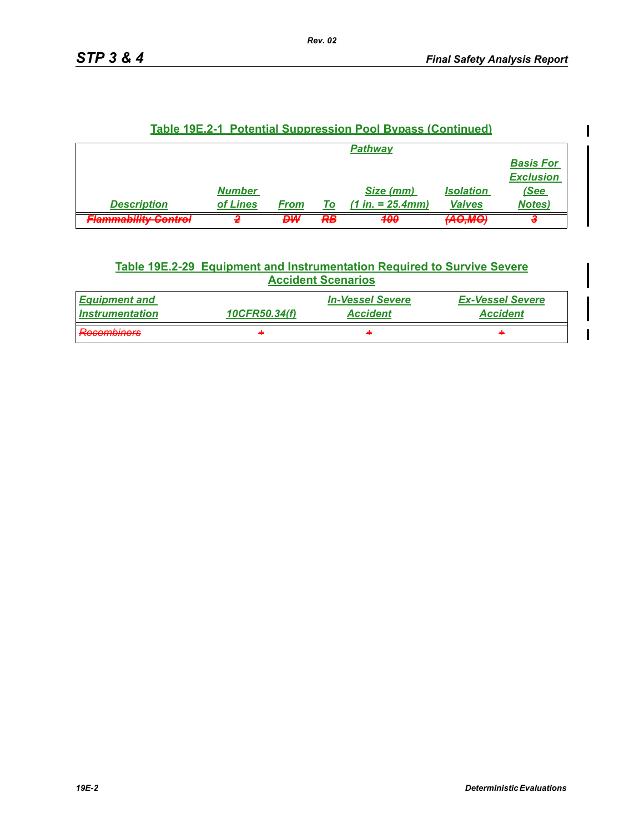| <u><b>Table 19E.2-1 Potential Suppression Pool Bypass (Continued)</b></u> |               |      |    |                     |                  |                  |  |  |
|---------------------------------------------------------------------------|---------------|------|----|---------------------|------------------|------------------|--|--|
| <b>Pathway</b>                                                            |               |      |    |                     |                  |                  |  |  |
| <b>Basis For</b>                                                          |               |      |    |                     |                  |                  |  |  |
|                                                                           |               |      |    |                     |                  | <b>Exclusion</b> |  |  |
|                                                                           | <b>Number</b> |      |    | Size (mm)           | <b>Isolation</b> | (See             |  |  |
| <b>Description</b>                                                        | of Lines      | From | To | $(1 in. = 25.4 mm)$ | <b>Valves</b>    | <b>Notes)</b>    |  |  |
| Elammahilifu Cantral<br><del>г капитамину ооноо</del> л                   |               | ₽₩   | R₿ | 400                 | <b>LANGTHAME</b> |                  |  |  |

### **Table 19E.2-1 Potential Suppression Pool Bypass (Continued)**

### **Table 19E.2-29 Equipment and Instrumentation Required to Survive Severe Accident Scenarios**

| <b>Equipment and</b>                        | 10CFR50.34(f) | <i><b>In-Vessel Severe</b></i> | <b>Ex-Vessel Severe</b> |
|---------------------------------------------|---------------|--------------------------------|-------------------------|
| <i>Instrumentation</i>                      |               | <b>Accident</b>                | <b>Accident</b>         |
| <b>Recombiners</b><br><del>ncoumanoro</del> | ÷             | ᆃ                              | ᆃ                       |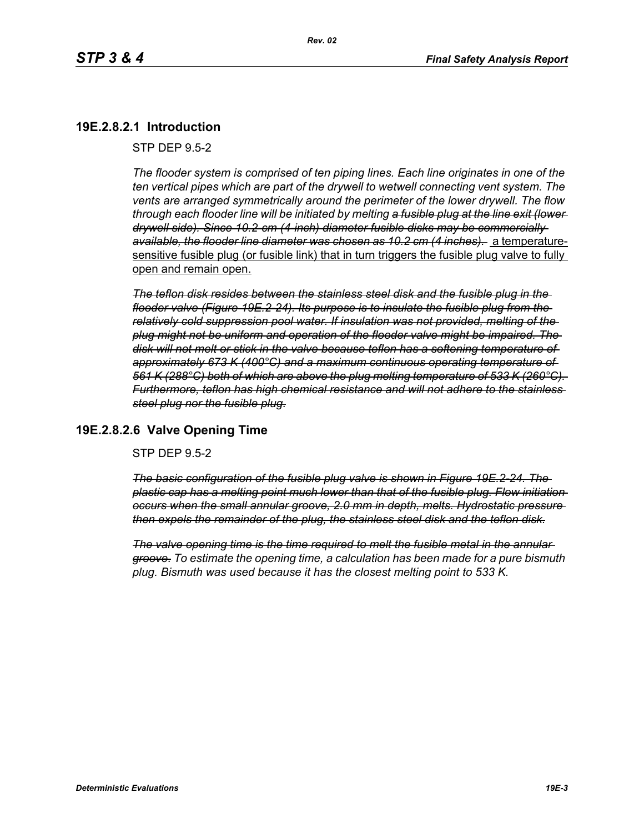### **19E.2.8.2.1 Introduction**

STP DEP 9.5-2

*The flooder system is comprised of ten piping lines. Each line originates in one of the ten vertical pipes which are part of the drywell to wetwell connecting vent system. The vents are arranged symmetrically around the perimeter of the lower drywell. The flow through each flooder line will be initiated by melting a fusible plug at the line exit (lower drywell side). Since 10.2-cm (4-inch) diameter fusible disks may be commercially available, the flooder line diameter was chosen as 10.2 cm (4 inches).* a temperaturesensitive fusible plug (or fusible link) that in turn triggers the fusible plug valve to fully open and remain open.

*The teflon disk resides between the stainless steel disk and the fusible plug in the flooder valve (Figure 19E.2-24). Its purpose is to insulate the fusible plug from the relatively cold suppression pool water. If insulation was not provided, melting of the plug might not be uniform and operation of the flooder valve might be impaired. The disk will not melt or stick in the valve because teflon has a softening temperature of approximately 673 K (400°C) and a maximum continuous operating temperature of 561 K (288°C) both of which are above the plug melting temperature of 533 K (260°C). Furthermore, teflon has high chemical resistance and will not adhere to the stainless steel plug nor the fusible plug.*

### **19E.2.8.2.6 Valve Opening Time**

STP DEP 9.5-2

*The basic configuration of the fusible plug valve is shown in Figure 19E.2-24. The plastic cap has a melting point much lower than that of the fusible plug. Flow initiation occurs when the small annular groove, 2.0 mm in depth, melts. Hydrostatic pressure then expels the remainder of the plug, the stainless steel disk and the teflon disk.*

*The valve opening time is the time required to melt the fusible metal in the annular groove. To estimate the opening time, a calculation has been made for a pure bismuth plug. Bismuth was used because it has the closest melting point to 533 K.*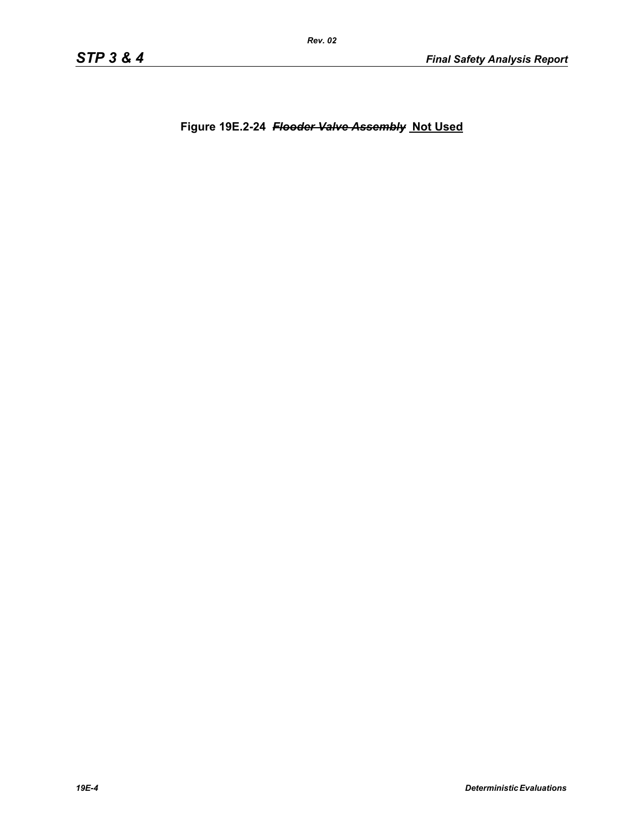**Figure 19E.2-24** *Flooder Valve Assembly* **Not Used**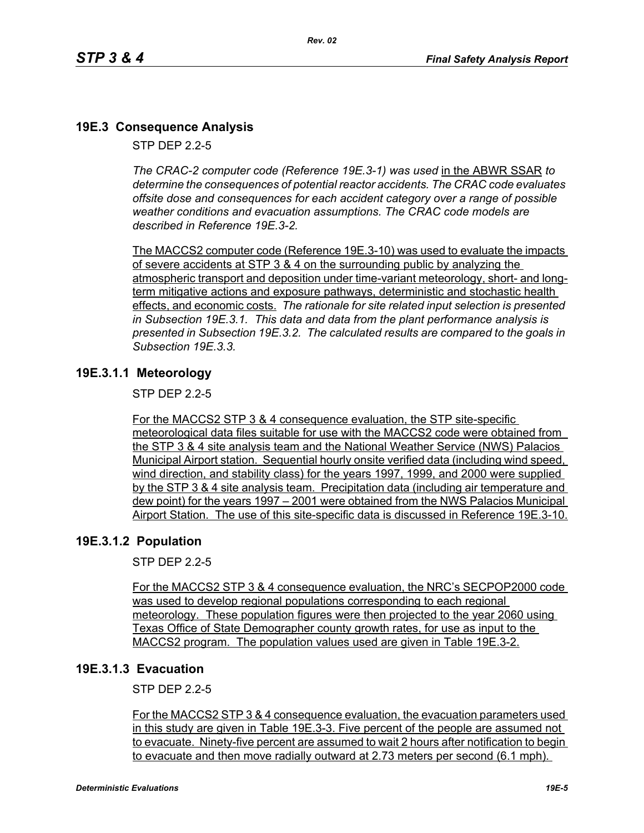## **19E.3 Consequence Analysis**

STP DEP 2.2-5

*The CRAC-2 computer code (Reference 19E.3-1) was used* in the ABWR SSAR *to determine the consequences of potential reactor accidents. The CRAC code evaluates offsite dose and consequences for each accident category over a range of possible weather conditions and evacuation assumptions. The CRAC code models are described in Reference 19E.3-2.* 

The MACCS2 computer code (Reference 19E.3-10) was used to evaluate the impacts of severe accidents at STP 3 & 4 on the surrounding public by analyzing the atmospheric transport and deposition under time-variant meteorology, short- and longterm mitigative actions and exposure pathways, deterministic and stochastic health effects, and economic costs. *The rationale for site related input selection is presented in Subsection 19E.3.1. This data and data from the plant performance analysis is presented in Subsection 19E.3.2. The calculated results are compared to the goals in Subsection 19E.3.3.*

## **19E.3.1.1 Meteorology**

STP DEP 2.2-5

For the MACCS2 STP 3 & 4 consequence evaluation, the STP site-specific meteorological data files suitable for use with the MACCS2 code were obtained from the STP 3 & 4 site analysis team and the National Weather Service (NWS) Palacios Municipal Airport station. Sequential hourly onsite verified data (including wind speed, wind direction, and stability class) for the years 1997, 1999, and 2000 were supplied by the STP 3 & 4 site analysis team. Precipitation data (including air temperature and dew point) for the years 1997 – 2001 were obtained from the NWS Palacios Municipal Airport Station. The use of this site-specific data is discussed in Reference 19E.3-10.

### **19E.3.1.2 Population**

STP DEP 2.2-5

For the MACCS2 STP 3 & 4 consequence evaluation, the NRC's SECPOP2000 code was used to develop regional populations corresponding to each regional meteorology. These population figures were then projected to the year 2060 using Texas Office of State Demographer county growth rates, for use as input to the MACCS2 program. The population values used are given in Table 19E.3-2.

### **19E.3.1.3 Evacuation**

STP DEP 2.2-5

For the MACCS2 STP 3 & 4 consequence evaluation, the evacuation parameters used in this study are given in Table 19E.3-3. Five percent of the people are assumed not to evacuate. Ninety-five percent are assumed to wait 2 hours after notification to begin to evacuate and then move radially outward at 2.73 meters per second (6.1 mph).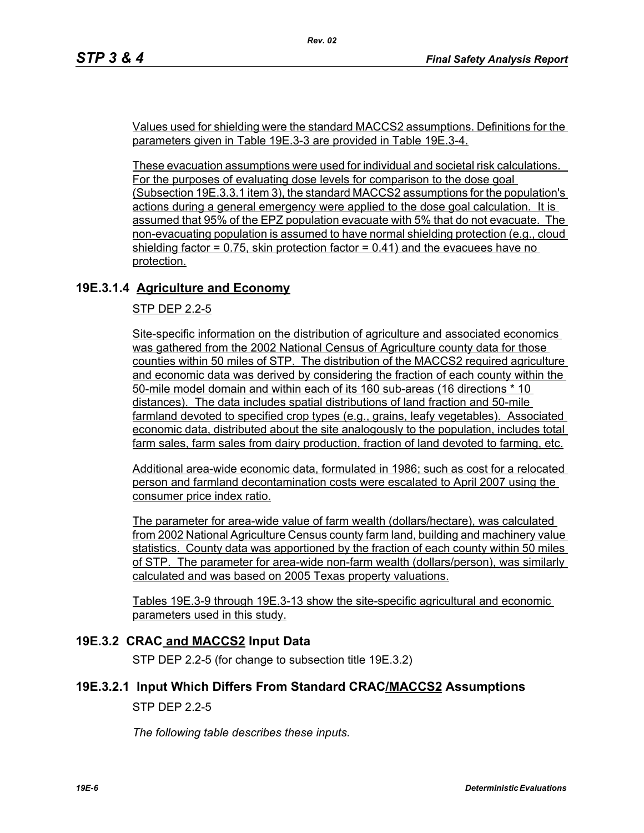Values used for shielding were the standard MACCS2 assumptions. Definitions for the parameters given in Table 19E.3-3 are provided in Table 19E.3-4.

*Rev. 02*

These evacuation assumptions were used for individual and societal risk calculations. For the purposes of evaluating dose levels for comparison to the dose goal (Subsection 19E.3.3.1 item 3), the standard MACCS2 assumptions for the population's actions during a general emergency were applied to the dose goal calculation. It is assumed that 95% of the EPZ population evacuate with 5% that do not evacuate. The non-evacuating population is assumed to have normal shielding protection (e.g., cloud shielding factor  $= 0.75$ , skin protection factor  $= 0.41$ ) and the evacuees have no protection.

## **19E.3.1.4 Agriculture and Economy**

#### STP DEP 2.2-5

Site-specific information on the distribution of agriculture and associated economics was gathered from the 2002 National Census of Agriculture county data for those counties within 50 miles of STP. The distribution of the MACCS2 required agriculture and economic data was derived by considering the fraction of each county within the 50-mile model domain and within each of its 160 sub-areas (16 directions \* 10 distances). The data includes spatial distributions of land fraction and 50-mile farmland devoted to specified crop types (e.g., grains, leafy vegetables). Associated economic data, distributed about the site analogously to the population, includes total farm sales, farm sales from dairy production, fraction of land devoted to farming, etc.

Additional area-wide economic data, formulated in 1986; such as cost for a relocated person and farmland decontamination costs were escalated to April 2007 using the consumer price index ratio.

The parameter for area-wide value of farm wealth (dollars/hectare), was calculated from 2002 National Agriculture Census county farm land, building and machinery value statistics. County data was apportioned by the fraction of each county within 50 miles of STP. The parameter for area-wide non-farm wealth (dollars/person), was similarly calculated and was based on 2005 Texas property valuations.

Tables 19E.3-9 through 19E.3-13 show the site-specific agricultural and economic parameters used in this study.

### **19E.3.2 CRAC and MACCS2 Input Data**

STP DEP 2.2-5 (for change to subsection title 19E.3.2)

### **19E.3.2.1 Input Which Differs From Standard CRAC/MACCS2 Assumptions**

STP DEP 2.2-5

*The following table describes these inputs.*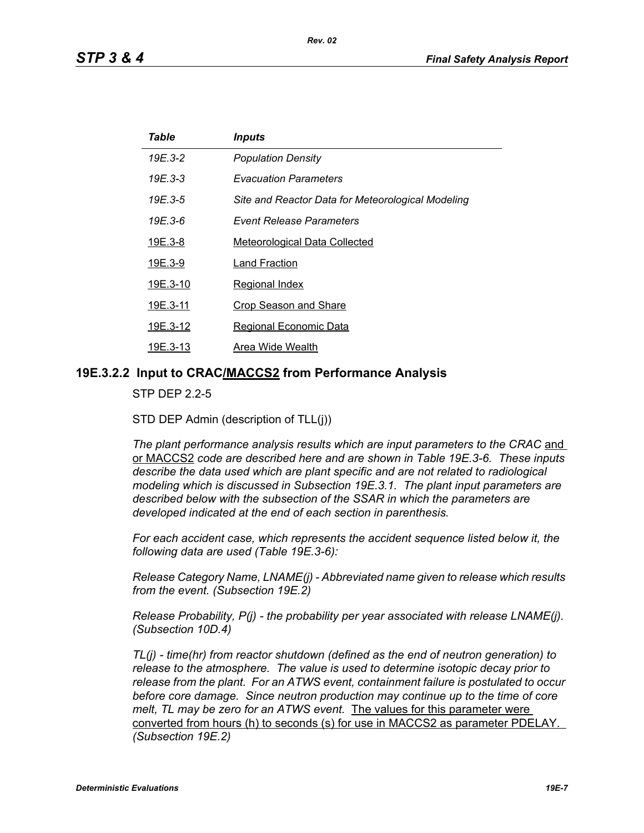| Table    | <b>Inputs</b>                                     |
|----------|---------------------------------------------------|
| 19E.3-2  | <b>Population Density</b>                         |
| 19E.3-3  | <b>Evacuation Parameters</b>                      |
| 19E.3-5  | Site and Reactor Data for Meteorological Modeling |
| 19E.3-6  | <b>Event Release Parameters</b>                   |
| 19E.3-8  | <b>Meteorological Data Collected</b>              |
| 19E.3-9  | Land Fraction                                     |
| 19E.3-10 | <b>Regional Index</b>                             |
| 19E.3-11 | <b>Crop Season and Share</b>                      |
| 19E.3-12 | <b>Regional Economic Data</b>                     |
| 19E.3-13 | Area Wide Wealth                                  |

#### **19E.3.2.2 Input to CRAC/MACCS2 from Performance Analysis**

STP DEP 2.2-5

STD DEP Admin (description of TLL(j))

The plant performance analysis results which are input parameters to the CRAC and or MACCS2 *code are described here and are shown in Table 19E.3-6. These inputs describe the data used which are plant specific and are not related to radiological modeling which is discussed in Subsection 19E.3.1. The plant input parameters are described below with the subsection of the SSAR in which the parameters are developed indicated at the end of each section in parenthesis.*

*For each accident case, which represents the accident sequence listed below it, the following data are used (Table 19E.3-6):*

*Release Category Name, LNAME(j) - Abbreviated name given to release which results from the event. (Subsection 19E.2)*

*Release Probability, P(j) - the probability per year associated with release LNAME(j). (Subsection 10D.4)*

*TL(j) - time(hr) from reactor shutdown (defined as the end of neutron generation) to release to the atmosphere. The value is used to determine isotopic decay prior to release from the plant. For an ATWS event, containment failure is postulated to occur before core damage. Since neutron production may continue up to the time of core melt, TL may be zero for an ATWS event.* The values for this parameter were converted from hours (h) to seconds (s) for use in MACCS2 as parameter PDELAY. *(Subsection 19E.2)*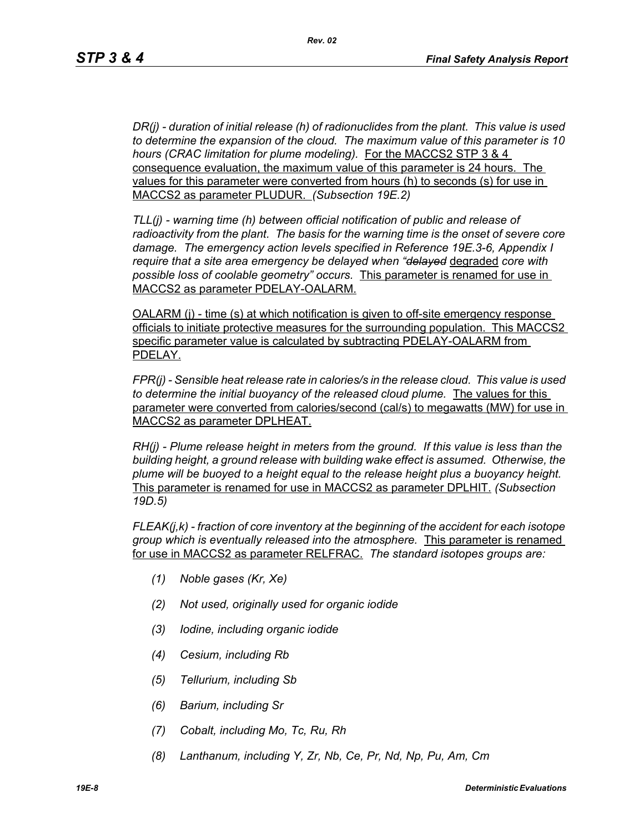*DR(j) - duration of initial release (h) of radionuclides from the plant. This value is used to determine the expansion of the cloud. The maximum value of this parameter is 10 hours (CRAC limitation for plume modeling).* For the MACCS2 STP 3 & 4 consequence evaluation, the maximum value of this parameter is 24 hours. The values for this parameter were converted from hours (h) to seconds (s) for use in MACCS2 as parameter PLUDUR. *(Subsection 19E.2)*

*TLL(j) - warning time (h) between official notification of public and release of radioactivity from the plant. The basis for the warning time is the onset of severe core damage. The emergency action levels specified in Reference 19E.3-6, Appendix I require that a site area emergency be delayed when "delayed* degraded *core with possible loss of coolable geometry" occurs.* This parameter is renamed for use in MACCS2 as parameter PDELAY-OALARM.

OALARM (j) - time (s) at which notification is given to off-site emergency response officials to initiate protective measures for the surrounding population. This MACCS2 specific parameter value is calculated by subtracting PDELAY-OALARM from PDELAY.

*FPR(j) - Sensible heat release rate in calories/s in the release cloud. This value is used to determine the initial buoyancy of the released cloud plume.* The values for this parameter were converted from calories/second (cal/s) to megawatts (MW) for use in MACCS2 as parameter DPLHEAT.

*RH(j) - Plume release height in meters from the ground. If this value is less than the building height, a ground release with building wake effect is assumed. Otherwise, the plume will be buoyed to a height equal to the release height plus a buoyancy height.*  This parameter is renamed for use in MACCS2 as parameter DPLHIT. *(Subsection 19D.5)*

*FLEAK(j,k) - fraction of core inventory at the beginning of the accident for each isotope group which is eventually released into the atmosphere.* This parameter is renamed for use in MACCS2 as parameter RELFRAC. *The standard isotopes groups are:*

- *(1) Noble gases (Kr, Xe)*
- *(2) Not used, originally used for organic iodide*
- *(3) Iodine, including organic iodide*
- *(4) Cesium, including Rb*
- *(5) Tellurium, including Sb*
- *(6) Barium, including Sr*
- *(7) Cobalt, including Mo, Tc, Ru, Rh*
- *(8) Lanthanum, including Y, Zr, Nb, Ce, Pr, Nd, Np, Pu, Am, Cm*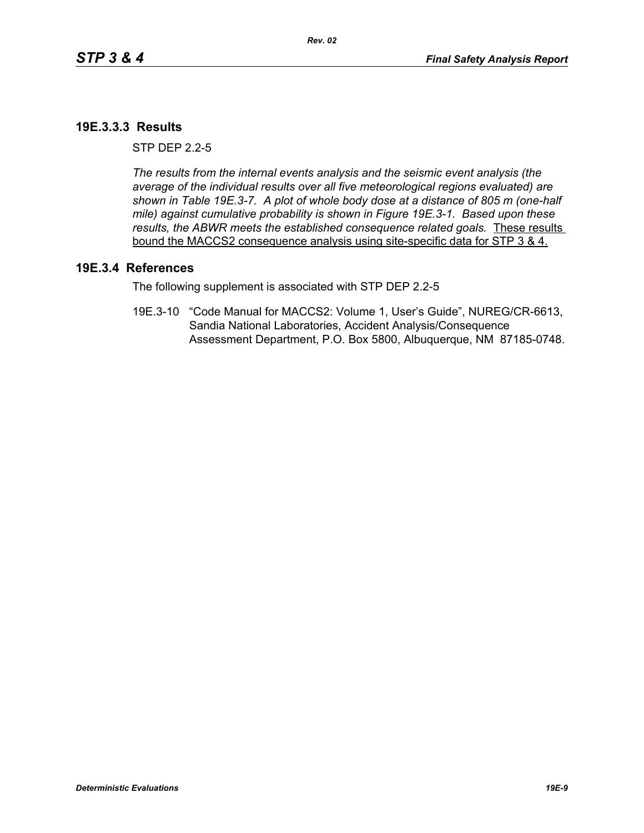#### **19E.3.3.3 Results**

 $STP$  DFP  $2.2-5$ 

*The results from the internal events analysis and the seismic event analysis (the average of the individual results over all five meteorological regions evaluated) are shown in Table 19E.3-7. A plot of whole body dose at a distance of 805 m (one-half mile) against cumulative probability is shown in Figure 19E.3-1. Based upon these results, the ABWR meets the established consequence related goals.* These results bound the MACCS2 consequence analysis using site-specific data for STP 3 & 4.

#### **19E.3.4 References**

The following supplement is associated with STP DEP 2.2-5

19E.3-10 "Code Manual for MACCS2: Volume 1, User's Guide", NUREG/CR-6613, Sandia National Laboratories, Accident Analysis/Consequence Assessment Department, P.O. Box 5800, Albuquerque, NM 87185-0748.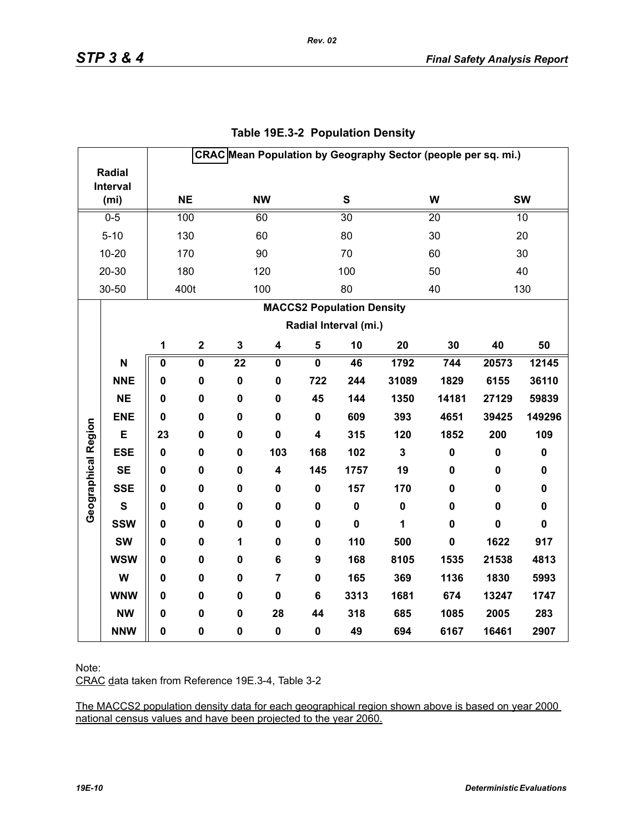|                     |                               | CRAC Mean Population by Geography Sector (people per sq. mi.) |                         |                 |                         |                         |                 |                         |             |             |             |
|---------------------|-------------------------------|---------------------------------------------------------------|-------------------------|-----------------|-------------------------|-------------------------|-----------------|-------------------------|-------------|-------------|-------------|
|                     | <b>Radial</b>                 |                                                               |                         |                 |                         |                         |                 |                         |             |             |             |
|                     | Interval<br>(m <sub>i</sub> ) |                                                               | <b>NE</b>               |                 | <b>NW</b>               |                         | S               |                         | W           |             | <b>SW</b>   |
|                     | $0-5$                         |                                                               | 100                     |                 | 60                      |                         | $\overline{30}$ |                         | 20          |             | 10          |
|                     | $5 - 10$                      |                                                               | 130                     |                 | 60                      |                         | 80              |                         | 30          |             | 20          |
|                     | $10 - 20$                     |                                                               | 170                     |                 | 90                      |                         | 70              |                         | 60          |             | 30          |
|                     | 20-30                         |                                                               | 180                     |                 | 120                     |                         | 100             |                         | 50          |             | 40          |
|                     | 30-50                         |                                                               | 400t                    |                 | 100                     |                         | 80              |                         | 40          |             | 130         |
|                     |                               |                                                               |                         |                 |                         |                         |                 |                         |             |             |             |
|                     |                               | <b>MACCS2 Population Density</b><br>Radial Interval (mi.)     |                         |                 |                         |                         |                 |                         |             |             |             |
|                     |                               |                                                               |                         |                 |                         |                         |                 |                         |             |             |             |
|                     |                               | 1                                                             | $\mathbf 2$             | $\mathbf 3$     | $\overline{\mathbf{4}}$ | $\overline{\mathbf{5}}$ | 10              | 20                      | 30          | 40          | 50          |
|                     | N                             | 0                                                             | $\overline{\mathbf{0}}$ | $\overline{22}$ | $\mathbf 0$             | $\overline{\mathbf{0}}$ | 46              | 1792                    | 744         | 20573       | 12145       |
|                     | <b>NNE</b>                    | 0                                                             | $\pmb{0}$               | $\pmb{0}$       | $\mathbf 0$             | 722                     | 244             | 31089                   | 1829        | 6155        | 36110       |
|                     | <b>NE</b>                     | 0                                                             | 0                       | $\mathbf 0$     | $\mathbf 0$             | 45                      | 144             | 1350                    | 14181       | 27129       | 59839       |
|                     | <b>ENE</b>                    | $\mathbf 0$                                                   | $\mathbf 0$             | $\mathbf 0$     | $\mathbf 0$             | $\mathbf 0$             | 609             | 393                     | 4651        | 39425       | 149296      |
|                     | E                             | 23                                                            | 0                       | $\mathbf 0$     | $\mathbf 0$             | 4                       | 315             | 120                     | 1852        | 200         | 109         |
| Geographical Region | <b>ESE</b>                    | $\mathbf 0$                                                   | 0                       | $\mathbf 0$     | 103                     | 168                     | 102             | $\overline{\mathbf{3}}$ | $\pmb{0}$   | $\pmb{0}$   | $\pmb{0}$   |
|                     | <b>SE</b>                     | 0                                                             | 0                       | $\pmb{0}$       | 4                       | 145                     | 1757            | 19                      | 0           | $\pmb{0}$   | $\pmb{0}$   |
|                     | <b>SSE</b>                    | 0                                                             | $\mathbf 0$             | $\mathbf 0$     | $\mathbf 0$             | $\mathbf 0$             | 157             | 170                     | $\mathbf 0$ | $\mathbf 0$ | $\mathbf 0$ |
|                     | $\mathbf{s}$                  | 0                                                             | 0                       | $\mathbf 0$     | 0                       | 0                       | $\pmb{0}$       | $\pmb{0}$               | $\mathbf 0$ | 0           | $\pmb{0}$   |
|                     | <b>SSW</b>                    | 0                                                             | 0                       | $\pmb{0}$       | 0                       | $\mathbf 0$             | $\mathbf 0$     | 1                       | $\mathbf 0$ | $\mathbf 0$ | $\mathbf 0$ |
|                     | <b>SW</b>                     | 0                                                             | $\mathbf 0$             | 1               | $\mathbf 0$             | $\mathbf 0$             | 110             | 500                     | $\mathbf 0$ | 1622        | 917         |
|                     | <b>WSW</b>                    | 0                                                             | 0                       | $\mathbf 0$     | $\bf 6$                 | 9                       | 168             | 8105                    | 1535        | 21538       | 4813        |
|                     | W                             | 0                                                             | 0                       | $\pmb{0}$       | 7                       | $\mathbf 0$             | 165             | 369                     | 1136        | 1830        | 5993        |
|                     | <b>WNW</b>                    | $\mathbf 0$                                                   | 0                       | $\pmb{0}$       | $\mathbf 0$             | 6                       | 3313            | 1681                    | 674         | 13247       | 1747        |
|                     | <b>NW</b>                     | 0                                                             | 0                       | $\mathbf 0$     | 28                      | 44                      | 318             | 685                     | 1085        | 2005        | 283         |
|                     | <b>NNW</b>                    | 0                                                             | $\pmb{0}$               | $\pmb{0}$       | $\pmb{0}$               | 0                       | 49              | 694                     | 6167        | 16461       | 2907        |

## **Table 19E.3-2 Population Density**

*Rev. 02*

Note:

CRAC data taken from Reference 19E.3-4, Table 3-2

The MACCS2 population density data for each geographical region shown above is based on year 2000 national census values and have been projected to the year 2060.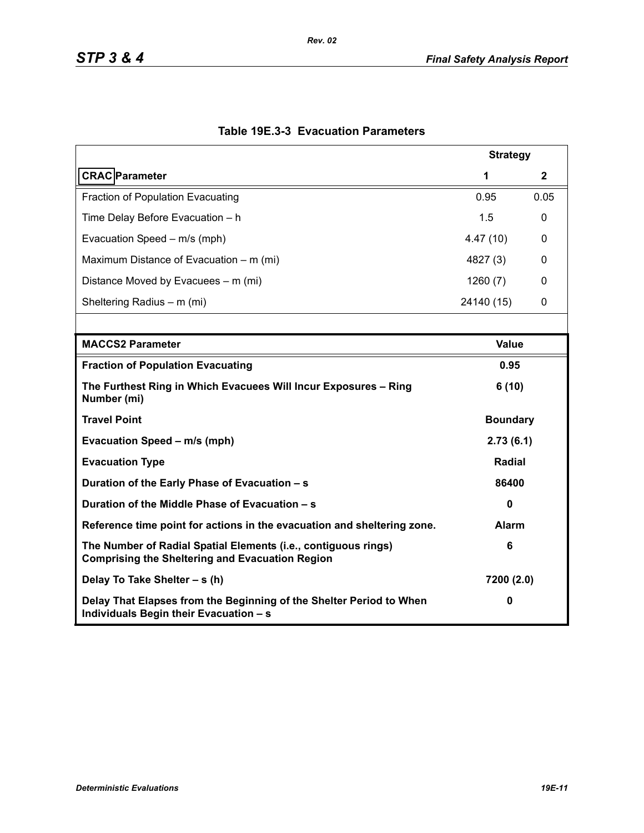| <b>Strategy</b>                                                                                                          |                 |              |  |  |  |
|--------------------------------------------------------------------------------------------------------------------------|-----------------|--------------|--|--|--|
| <b>CRAC</b> Parameter                                                                                                    | 1               | $\mathbf{2}$ |  |  |  |
| Fraction of Population Evacuating                                                                                        | 0.95            | 0.05         |  |  |  |
| Time Delay Before Evacuation - h                                                                                         | 1.5             | 0            |  |  |  |
| Evacuation Speed - m/s (mph)                                                                                             | 4.47(10)        | 0            |  |  |  |
| Maximum Distance of Evacuation – m (mi)                                                                                  | 4827 (3)        | 0            |  |  |  |
| Distance Moved by Evacuees – m (mi)                                                                                      | 1260(7)         | 0            |  |  |  |
| Sheltering Radius - m (mi)                                                                                               | 24140 (15)      | 0            |  |  |  |
|                                                                                                                          |                 |              |  |  |  |
| <b>MACCS2 Parameter</b>                                                                                                  | <b>Value</b>    |              |  |  |  |
| <b>Fraction of Population Evacuating</b>                                                                                 | 0.95            |              |  |  |  |
| The Furthest Ring in Which Evacuees Will Incur Exposures - Ring<br>Number (mi)                                           | 6(10)           |              |  |  |  |
| <b>Travel Point</b>                                                                                                      | <b>Boundary</b> |              |  |  |  |
| Evacuation Speed - m/s (mph)                                                                                             | 2.73(6.1)       |              |  |  |  |
| <b>Evacuation Type</b>                                                                                                   | <b>Radial</b>   |              |  |  |  |
| Duration of the Early Phase of Evacuation - s                                                                            | 86400           |              |  |  |  |
| Duration of the Middle Phase of Evacuation - s                                                                           | $\mathbf{0}$    |              |  |  |  |
| Reference time point for actions in the evacuation and sheltering zone.                                                  | <b>Alarm</b>    |              |  |  |  |
| The Number of Radial Spatial Elements (i.e., contiguous rings)<br><b>Comprising the Sheltering and Evacuation Region</b> | 6               |              |  |  |  |
| Delay To Take Shelter - s (h)                                                                                            | 7200 (2.0)      |              |  |  |  |
| Delay That Elapses from the Beginning of the Shelter Period to When<br>Individuals Begin their Evacuation - s            | 0               |              |  |  |  |

# **Table 19E.3-3 Evacuation Parameters**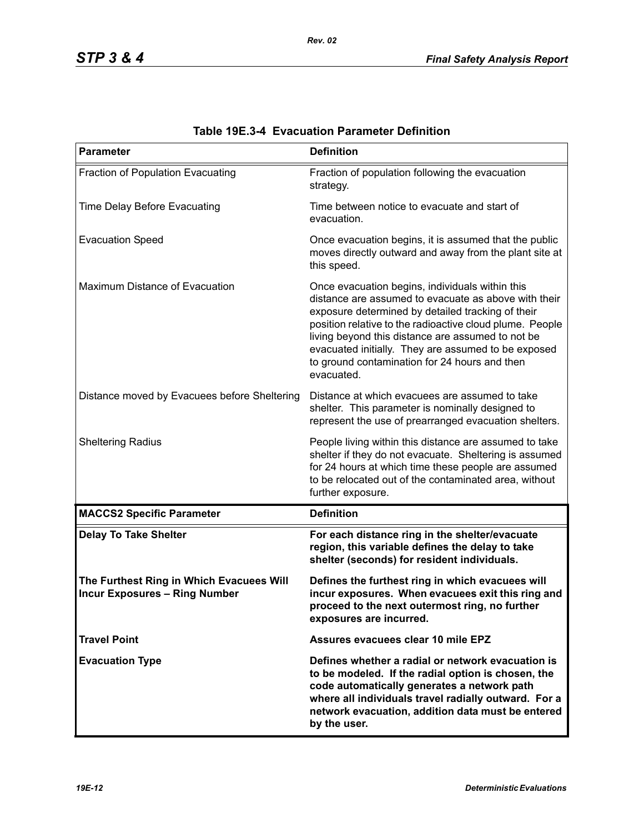| <b>Parameter</b>                                                                 | <b>Definition</b>                                                                                                                                                                                                                                                                                                                                                                                   |
|----------------------------------------------------------------------------------|-----------------------------------------------------------------------------------------------------------------------------------------------------------------------------------------------------------------------------------------------------------------------------------------------------------------------------------------------------------------------------------------------------|
| Fraction of Population Evacuating                                                | Fraction of population following the evacuation<br>strategy.                                                                                                                                                                                                                                                                                                                                        |
| Time Delay Before Evacuating                                                     | Time between notice to evacuate and start of<br>evacuation.                                                                                                                                                                                                                                                                                                                                         |
| <b>Evacuation Speed</b>                                                          | Once evacuation begins, it is assumed that the public<br>moves directly outward and away from the plant site at<br>this speed.                                                                                                                                                                                                                                                                      |
| Maximum Distance of Evacuation                                                   | Once evacuation begins, individuals within this<br>distance are assumed to evacuate as above with their<br>exposure determined by detailed tracking of their<br>position relative to the radioactive cloud plume. People<br>living beyond this distance are assumed to not be<br>evacuated initially. They are assumed to be exposed<br>to ground contamination for 24 hours and then<br>evacuated. |
| Distance moved by Evacuees before Sheltering                                     | Distance at which evacuees are assumed to take<br>shelter. This parameter is nominally designed to<br>represent the use of prearranged evacuation shelters.                                                                                                                                                                                                                                         |
| <b>Sheltering Radius</b>                                                         | People living within this distance are assumed to take<br>shelter if they do not evacuate. Sheltering is assumed<br>for 24 hours at which time these people are assumed<br>to be relocated out of the contaminated area, without<br>further exposure.                                                                                                                                               |
| <b>MACCS2 Specific Parameter</b>                                                 | <b>Definition</b>                                                                                                                                                                                                                                                                                                                                                                                   |
| <b>Delay To Take Shelter</b>                                                     | For each distance ring in the shelter/evacuate<br>region, this variable defines the delay to take<br>shelter (seconds) for resident individuals.                                                                                                                                                                                                                                                    |
| The Furthest Ring in Which Evacuees Will<br><b>Incur Exposures - Ring Number</b> | Defines the furthest ring in which evacuees will<br>incur exposures. When evacuees exit this ring and<br>proceed to the next outermost ring, no further<br>exposures are incurred.                                                                                                                                                                                                                  |
| <b>Travel Point</b>                                                              | Assures evacuees clear 10 mile EPZ                                                                                                                                                                                                                                                                                                                                                                  |
| <b>Evacuation Type</b>                                                           | Defines whether a radial or network evacuation is<br>to be modeled. If the radial option is chosen, the<br>code automatically generates a network path<br>where all individuals travel radially outward. For a<br>network evacuation, addition data must be entered<br>by the user.                                                                                                                 |

| <b>Table 19E.3-4 Evacuation Parameter Definition</b> |  |  |  |
|------------------------------------------------------|--|--|--|
|------------------------------------------------------|--|--|--|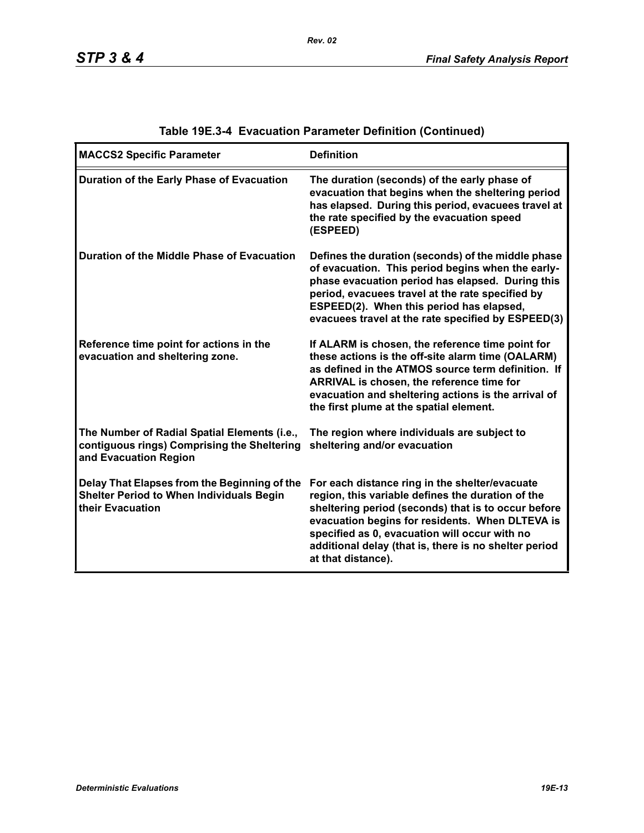| <b>MACCS2 Specific Parameter</b>                                                                                     | <b>Definition</b>                                                                                                                                                                                                                                                                                                                             |
|----------------------------------------------------------------------------------------------------------------------|-----------------------------------------------------------------------------------------------------------------------------------------------------------------------------------------------------------------------------------------------------------------------------------------------------------------------------------------------|
| Duration of the Early Phase of Evacuation                                                                            | The duration (seconds) of the early phase of<br>evacuation that begins when the sheltering period<br>has elapsed. During this period, evacuees travel at<br>the rate specified by the evacuation speed<br>(ESPEED)                                                                                                                            |
| Duration of the Middle Phase of Evacuation                                                                           | Defines the duration (seconds) of the middle phase<br>of evacuation. This period begins when the early-<br>phase evacuation period has elapsed. During this<br>period, evacuees travel at the rate specified by<br>ESPEED(2). When this period has elapsed,<br>evacuees travel at the rate specified by ESPEED(3)                             |
| Reference time point for actions in the<br>evacuation and sheltering zone.                                           | If ALARM is chosen, the reference time point for<br>these actions is the off-site alarm time (OALARM)<br>as defined in the ATMOS source term definition. If<br>ARRIVAL is chosen, the reference time for<br>evacuation and sheltering actions is the arrival of<br>the first plume at the spatial element.                                    |
| The Number of Radial Spatial Elements (i.e.,<br>contiguous rings) Comprising the Sheltering<br>and Evacuation Region | The region where individuals are subject to<br>sheltering and/or evacuation                                                                                                                                                                                                                                                                   |
| Delay That Elapses from the Beginning of the<br><b>Shelter Period to When Individuals Begin</b><br>their Evacuation  | For each distance ring in the shelter/evacuate<br>region, this variable defines the duration of the<br>sheltering period (seconds) that is to occur before<br>evacuation begins for residents. When DLTEVA is<br>specified as 0, evacuation will occur with no<br>additional delay (that is, there is no shelter period<br>at that distance). |

## **Table 19E.3-4 Evacuation Parameter Definition (Continued)**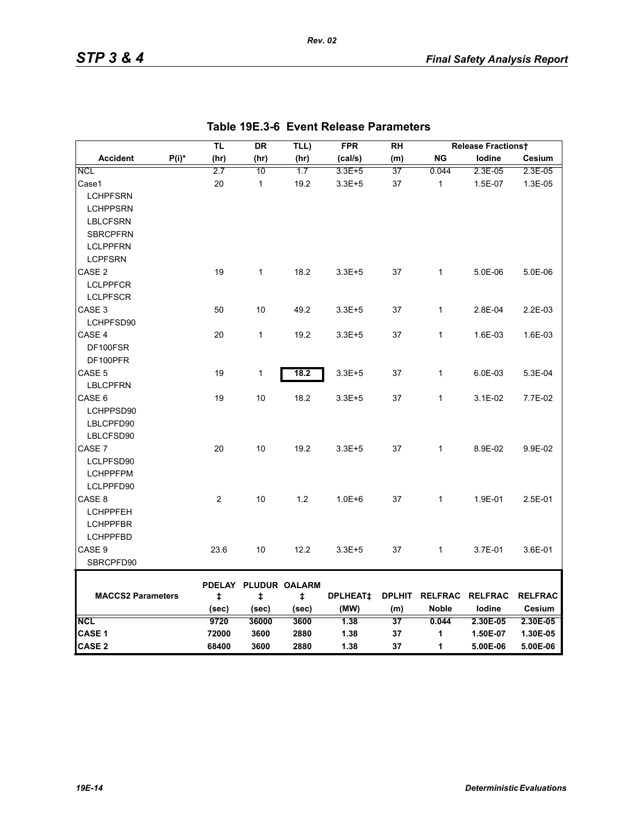|                          |          | TL    | DR                   | TLL)       | <b>FPR</b>           | <b>RH</b> |                        | <b>Release Fractionst</b> |                |
|--------------------------|----------|-------|----------------------|------------|----------------------|-----------|------------------------|---------------------------|----------------|
| <b>Accident</b>          | $P(i)^*$ | (hr)  | (hr)                 | (hr)       | (cal/s)              | (m)       | <b>NG</b>              | lodine                    | Cesium         |
| <b>NCL</b>               |          | 2.7   | 10                   | 1.7        | 3.3E+5               | 37        | 0.044                  | 2.3E-05                   | 2.3E-05        |
| Case1                    |          | 20    | $\mathbf{1}$         | 19.2       | $3.3E + 5$           | 37        | $\mathbf{1}$           | 1.5E-07                   | 1.3E-05        |
| <b>LCHPFSRN</b>          |          |       |                      |            |                      |           |                        |                           |                |
| <b>LCHPPSRN</b>          |          |       |                      |            |                      |           |                        |                           |                |
| <b>LBLCFSRN</b>          |          |       |                      |            |                      |           |                        |                           |                |
| <b>SBRCPFRN</b>          |          |       |                      |            |                      |           |                        |                           |                |
| <b>LCLPPFRN</b>          |          |       |                      |            |                      |           |                        |                           |                |
| <b>LCPFSRN</b>           |          |       |                      |            |                      |           |                        |                           |                |
| CASE <sub>2</sub>        |          | 19    | 1                    | 18.2       | $3.3E + 5$           | 37        | 1                      | 5.0E-06                   | 5.0E-06        |
| <b>LCLPPFCR</b>          |          |       |                      |            |                      |           |                        |                           |                |
| <b>LCLPFSCR</b>          |          |       |                      |            |                      |           |                        |                           |                |
| CASE 3                   |          | 50    | 10                   | 49.2       | $3.3E + 5$           | 37        | $\mathbf{1}$           | 2.8E-04                   | 2.2E-03        |
| LCHPFSD90                |          |       |                      |            |                      |           |                        |                           |                |
| CASE 4                   |          | 20    | $\mathbf{1}$         | 19.2       | $3.3E + 5$           | 37        | $\mathbf{1}$           | 1.6E-03                   | 1.6E-03        |
| DF100FSR                 |          |       |                      |            |                      |           |                        |                           |                |
| DF100PFR                 |          |       |                      |            |                      |           |                        |                           |                |
| CASE 5                   |          | 19    | $\mathbf{1}$         | 18.2       | $3.3E + 5$           | 37        | $\mathbf{1}$           | 6.0E-03                   | 5.3E-04        |
| <b>LBLCPFRN</b>          |          |       |                      |            |                      |           |                        |                           |                |
| CASE 6                   |          | 19    | 10                   | 18.2       | $3.3E + 5$           | 37        | $\mathbf{1}$           | 3.1E-02                   | 7.7E-02        |
| LCHPPSD90                |          |       |                      |            |                      |           |                        |                           |                |
| LBLCPFD90                |          |       |                      |            |                      |           |                        |                           |                |
| LBLCFSD90                |          |       |                      |            |                      |           |                        |                           |                |
| CASE 7                   |          | 20    | 10                   | 19.2       | $3.3E + 5$           | 37        | $\mathbf{1}$           | 8.9E-02                   | 9.9E-02        |
| LCLPFSD90                |          |       |                      |            |                      |           |                        |                           |                |
| <b>LCHPPFPM</b>          |          |       |                      |            |                      |           |                        |                           |                |
| LCLPPFD90                |          |       |                      |            |                      |           |                        |                           |                |
| CASE <sub>8</sub>        |          | 2     | 10                   | 1.2        | $1.0E + 6$           | 37        | $\mathbf{1}$           | 1.9E-01                   | 2.5E-01        |
| <b>LCHPPFEH</b>          |          |       |                      |            |                      |           |                        |                           |                |
| <b>LCHPPFBR</b>          |          |       |                      |            |                      |           |                        |                           |                |
| <b>LCHPPFBD</b>          |          |       |                      |            |                      |           |                        |                           |                |
| CASE 9                   |          | 23.6  | 10                   | 12.2       | $3.3E + 5$           | 37        | $\mathbf{1}$           | 3.7E-01                   | 3.6E-01        |
| SBRCPFD90                |          |       |                      |            |                      |           |                        |                           |                |
|                          |          |       | PDELAY PLUDUR OALARM |            |                      |           |                        |                           |                |
| <b>MACCS2 Parameters</b> |          | ŧ     | ŧ                    | $\ddagger$ | DPLHEAT <sup>+</sup> |           | DPLHIT RELFRAC RELFRAC |                           | <b>RELFRAC</b> |
|                          |          | (sec) | (sec)                | (sec)      | (MW)                 | (m)       | <b>Noble</b>           | lodine                    | Cesium         |
| <b>NCL</b>               |          | 9720  | 36000                | 3600       | 1.38                 | 37        | 0.044                  | 2.30E-05                  | 2.30E-05       |
| <b>CASE 1</b>            |          | 72000 | 3600                 | 2880       | 1.38                 | 37        | 1                      | 1.50E-07                  | 1.30E-05       |
| <b>CASE 2</b>            |          | 68400 | 3600                 | 2880       | 1.38                 | 37        | 1                      | 5.00E-06                  | 5.00E-06       |

|  | Table 19E.3-6 Event Release Parameters |  |
|--|----------------------------------------|--|
|--|----------------------------------------|--|

*Rev. 02*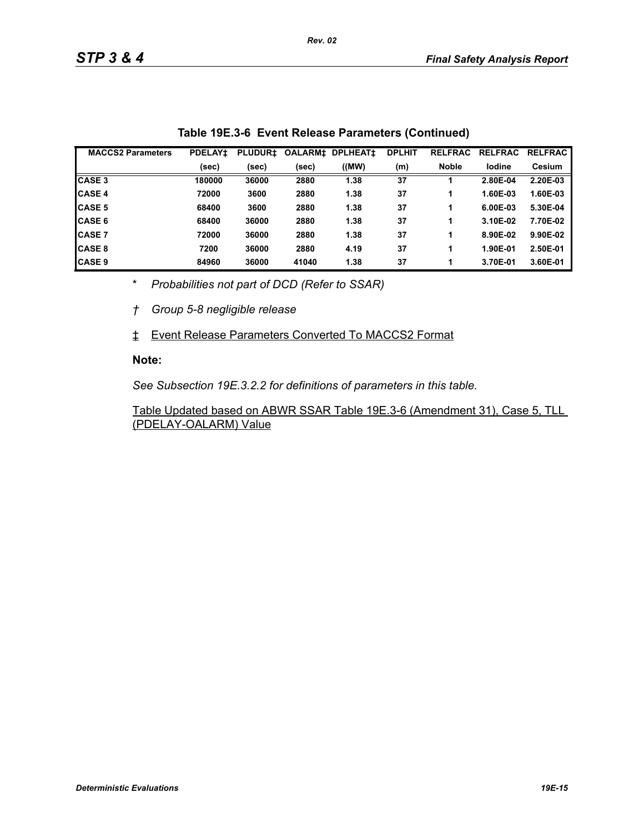| <b>MACCS2 Parameters</b> | <b>PDELAY1</b> | <b>PLUDUR1</b> | <b>OALARM‡</b> | <b>DPLHEAT1</b> | <b>DPLHIT</b> | <b>RELFRAC</b> | <b>RELFRAC</b> | <b>RELFRAC</b> |
|--------------------------|----------------|----------------|----------------|-----------------|---------------|----------------|----------------|----------------|
|                          | (sec)          | (sec)          | (sec)          | ((MW)           | (m)           | <b>Noble</b>   | lodine         | <b>Cesium</b>  |
| <b>CASE 3</b>            | 180000         | 36000          | 2880           | 1.38            | 37            |                | 2.80E-04       | 2.20E-03       |
| <b>CASE 4</b>            | 72000          | 3600           | 2880           | 1.38            | 37            |                | 1.60E-03       | 1.60E-03       |
| <b>CASE 5</b>            | 68400          | 3600           | 2880           | 1.38            | 37            |                | 6.00E-03       | 5.30E-04       |
| <b>CASE 6</b>            | 68400          | 36000          | 2880           | 1.38            | 37            |                | 3.10E-02       | 7.70E-02       |
| <b>CASE 7</b>            | 72000          | 36000          | 2880           | 1.38            | 37            |                | 8.90E-02       | 9.90E-02       |
| <b>CASE 8</b>            | 7200           | 36000          | 2880           | 4.19            | 37            |                | 1.90E-01       | 2.50E-01       |
| <b>CASE 9</b>            | 84960          | 36000          | 41040          | 1.38            | 37            |                | 3.70E-01       | 3.60E-01       |

\* *Probabilities not part of DCD (Refer to SSAR)*

*† Group 5-8 negligible release*

‡ Event Release Parameters Converted To MACCS2 Format

#### **Note:**

*See Subsection 19E.3.2.2 for definitions of parameters in this table.*

Table Updated based on ABWR SSAR Table 19E.3-6 (Amendment 31), Case 5, TLL (PDELAY-OALARM) Value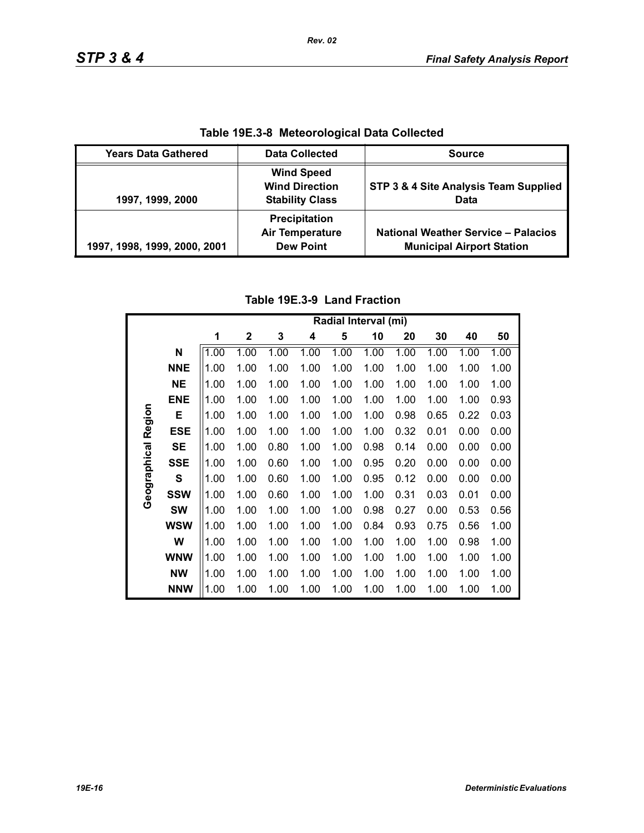| Table 19E.3-8 Meteorological Data Collected |                                                                      |                                                                                |  |  |  |
|---------------------------------------------|----------------------------------------------------------------------|--------------------------------------------------------------------------------|--|--|--|
| <b>Years Data Gathered</b>                  | <b>Data Collected</b>                                                | <b>Source</b>                                                                  |  |  |  |
| 1997, 1999, 2000                            | <b>Wind Speed</b><br><b>Wind Direction</b><br><b>Stability Class</b> | STP 3 & 4 Site Analysis Team Supplied<br>Data                                  |  |  |  |
| 1997, 1998, 1999, 2000, 2001                | Precipitation<br><b>Air Temperature</b><br><b>Dew Point</b>          | <b>National Weather Service - Palacios</b><br><b>Municipal Airport Station</b> |  |  |  |

**Table 19E.3-8 Meteorological Data Collected**

## **Table 19E.3-9 Land Fraction**

|              |            | Radial Interval (mi) |              |      |      |      |      |      |      |      |      |
|--------------|------------|----------------------|--------------|------|------|------|------|------|------|------|------|
|              |            | 1                    | $\mathbf{2}$ | 3    | 4    | 5    | 10   | 20   | 30   | 40   | 50   |
|              | N          | 1.00                 | 1.00         | 1.00 | 1.00 | 1.00 | 1.00 | 1.00 | 1.00 | 1.00 | 1.00 |
|              | <b>NNE</b> | 1.00                 | 1.00         | 1.00 | 1.00 | 1.00 | 1.00 | 1.00 | 1.00 | 1.00 | 1.00 |
|              | <b>NE</b>  | 1.00                 | 1.00         | 1.00 | 1.00 | 1.00 | 1.00 | 1.00 | 1.00 | 1.00 | 1.00 |
|              | <b>ENE</b> | 1.00                 | 1.00         | 1.00 | 1.00 | 1.00 | 1.00 | 1.00 | 1.00 | 1.00 | 0.93 |
|              | E          | 1.00                 | 1.00         | 1.00 | 1.00 | 1.00 | 1.00 | 0.98 | 0.65 | 0.22 | 0.03 |
| Region       | <b>ESE</b> | 1.00                 | 1.00         | 1.00 | 1.00 | 1.00 | 1.00 | 0.32 | 0.01 | 0.00 | 0.00 |
|              | <b>SE</b>  | 1.00                 | 1.00         | 0.80 | 1.00 | 1.00 | 0.98 | 0.14 | 0.00 | 0.00 | 0.00 |
| Geographical | <b>SSE</b> | 1.00                 | 1.00         | 0.60 | 1.00 | 1.00 | 0.95 | 0.20 | 0.00 | 0.00 | 0.00 |
|              | S          | 1.00                 | 1.00         | 0.60 | 1.00 | 1.00 | 0.95 | 0.12 | 0.00 | 0.00 | 0.00 |
|              | <b>SSW</b> | 1.00                 | 1.00         | 0.60 | 1.00 | 1.00 | 1.00 | 0.31 | 0.03 | 0.01 | 0.00 |
|              | <b>SW</b>  | 1.00                 | 1.00         | 1.00 | 1.00 | 1.00 | 0.98 | 0.27 | 0.00 | 0.53 | 0.56 |
|              | <b>WSW</b> | 1.00                 | 1.00         | 1.00 | 1.00 | 1.00 | 0.84 | 0.93 | 0.75 | 0.56 | 1.00 |
|              | W          | 1.00                 | 1.00         | 1.00 | 1.00 | 1.00 | 1.00 | 1.00 | 1.00 | 0.98 | 1.00 |
|              | <b>WNW</b> | 1.00                 | 1.00         | 1.00 | 1.00 | 1.00 | 1.00 | 1.00 | 1.00 | 1.00 | 1.00 |
|              | <b>NW</b>  | 1.00                 | 1.00         | 1.00 | 1.00 | 1.00 | 1.00 | 1.00 | 1.00 | 1.00 | 1.00 |
|              | <b>NNW</b> | 1.00                 | 1.00         | 1.00 | 1.00 | 1.00 | 1.00 | 1.00 | 1.00 | 1.00 | 1.00 |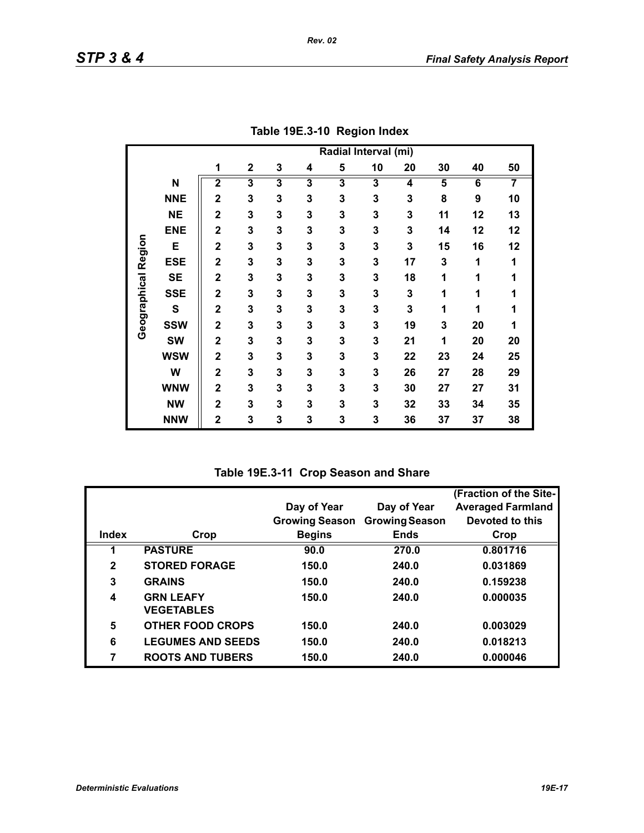|                     |             | Radial Interval (mi)    |                         |                         |                         |                         |    |    |                         |    |    |
|---------------------|-------------|-------------------------|-------------------------|-------------------------|-------------------------|-------------------------|----|----|-------------------------|----|----|
|                     |             | 1                       | $\mathbf 2$             | 3                       | 4                       | 5                       | 10 | 20 | 30                      | 40 | 50 |
|                     | N           | $\overline{\mathbf{2}}$ | $\overline{\mathbf{3}}$ | $\overline{\mathbf{3}}$ | $\overline{\mathbf{3}}$ | $\overline{\mathbf{3}}$ | 3  | 4  | $\overline{\mathbf{5}}$ | 6  | 7  |
|                     | <b>NNE</b>  | $\overline{2}$          | 3                       | 3                       | 3                       | 3                       | 3  | 3  | 8                       | 9  | 10 |
|                     | <b>NE</b>   | $\overline{2}$          | 3                       | 3                       | 3                       | 3                       | 3  | 3  | 11                      | 12 | 13 |
|                     | <b>ENE</b>  | $\overline{2}$          | 3                       | 3                       | 3                       | 3                       | 3  | 3  | 14                      | 12 | 12 |
|                     | E           | $\overline{2}$          | 3                       | 3                       | 3                       | 3                       | 3  | 3  | 15                      | 16 | 12 |
| Geographical Region | <b>ESE</b>  | $\mathbf 2$             | 3                       | 3                       | 3                       | 3                       | 3  | 17 | 3                       | 1  | 1  |
|                     | <b>SE</b>   | $\mathbf 2$             | 3                       | 3                       | 3                       | 3                       | 3  | 18 | 1                       | 1  | 1  |
|                     | <b>SSE</b>  | $\overline{2}$          | 3                       | 3                       | 3                       | 3                       | 3  | 3  | 1                       | 1  | 1  |
|                     | $\mathbf s$ | $\mathbf 2$             | 3                       | 3                       | 3                       | 3                       | 3  | 3  | 1                       | 1  | 1  |
|                     | <b>SSW</b>  | $\overline{2}$          | 3                       | 3                       | 3                       | 3                       | 3  | 19 | 3                       | 20 | 1  |
|                     | <b>SW</b>   | $\overline{2}$          | 3                       | 3                       | 3                       | 3                       | 3  | 21 | 1                       | 20 | 20 |
|                     | <b>WSW</b>  | $\overline{\mathbf{2}}$ | 3                       | 3                       | 3                       | 3                       | 3  | 22 | 23                      | 24 | 25 |
|                     | W           | $\overline{\mathbf{2}}$ | 3                       | 3                       | 3                       | 3                       | 3  | 26 | 27                      | 28 | 29 |
|                     | <b>WNW</b>  | $\mathbf 2$             | 3                       | 3                       | 3                       | 3                       | 3  | 30 | 27                      | 27 | 31 |
|                     | <b>NW</b>   | $\overline{\mathbf{2}}$ | 3                       | 3                       | 3                       | 3                       | 3  | 32 | 33                      | 34 | 35 |
|                     | <b>NNW</b>  | $\mathbf 2$             | 3                       | 3                       | 3                       | 3                       | 3  | 36 | 37                      | 37 | 38 |

**Table 19E.3-10 Region Index**

**Table 19E.3-11 Crop Season and Share**

|              |                          |                       |                       | (Fraction of the Site-   |
|--------------|--------------------------|-----------------------|-----------------------|--------------------------|
|              |                          | Day of Year           | Day of Year           | <b>Averaged Farmland</b> |
|              |                          | <b>Growing Season</b> | <b>Growing Season</b> | Devoted to this          |
| Index        | Crop                     | <b>Begins</b>         | <b>Ends</b>           | Crop                     |
|              | <b>PASTURE</b>           | 90.0                  | 270.0                 | 0.801716                 |
| $\mathbf{2}$ | <b>STORED FORAGE</b>     | 150.0                 | 240.0                 | 0.031869                 |
| 3            | <b>GRAINS</b>            | 150.0                 | 240.0                 | 0.159238                 |
| 4            | <b>GRN LEAFY</b>         | 150.0                 | 240.0                 | 0.000035                 |
|              | <b>VEGETABLES</b>        |                       |                       |                          |
| 5            | <b>OTHER FOOD CROPS</b>  | 150.0                 | 240.0                 | 0.003029                 |
| 6            | <b>LEGUMES AND SEEDS</b> | 150.0                 | 240.0                 | 0.018213                 |
| 7            | <b>ROOTS AND TUBERS</b>  | 150.0                 | 240.0                 | 0.000046                 |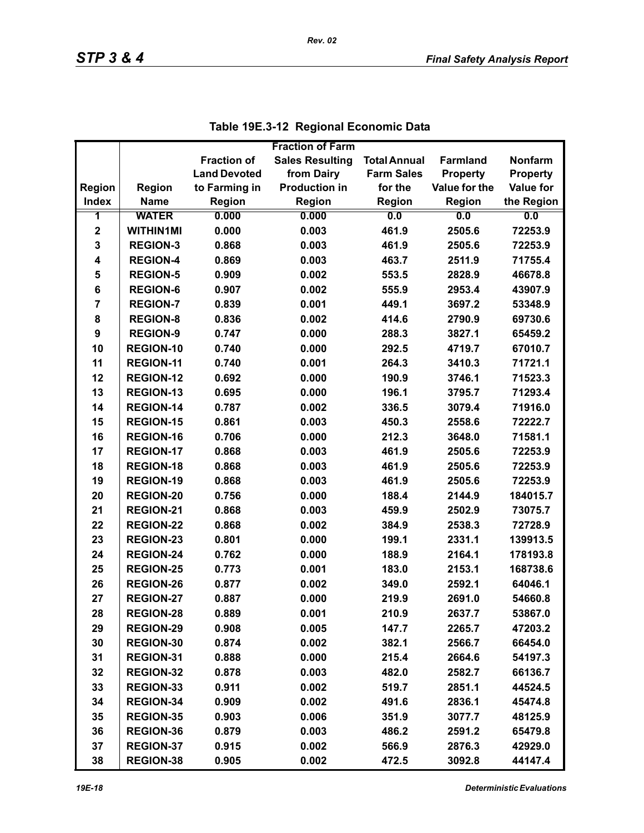|                |                  |                     | <b>Fraction of Farm</b> |                     |                 |                  |
|----------------|------------------|---------------------|-------------------------|---------------------|-----------------|------------------|
|                |                  | <b>Fraction of</b>  | <b>Sales Resulting</b>  | <b>Total Annual</b> | <b>Farmland</b> | <b>Nonfarm</b>   |
|                |                  | <b>Land Devoted</b> | from Dairy              | <b>Farm Sales</b>   | <b>Property</b> | <b>Property</b>  |
| <b>Region</b>  | <b>Region</b>    | to Farming in       | <b>Production in</b>    | for the             | Value for the   | <b>Value for</b> |
| <b>Index</b>   | <b>Name</b>      | <b>Region</b>       | Region                  | <b>Region</b>       | <b>Region</b>   | the Region       |
| 1              | <b>WATER</b>     | 0.000               | 0.000                   | 0.0                 | 0.0             | 0.0              |
| $\mathbf 2$    | <b>WITHIN1MI</b> | 0.000               | 0.003                   | 461.9               | 2505.6          | 72253.9          |
| 3              | <b>REGION-3</b>  | 0.868               | 0.003                   | 461.9               | 2505.6          | 72253.9          |
| 4              | <b>REGION-4</b>  | 0.869               | 0.003                   | 463.7               | 2511.9          | 71755.4          |
| 5              | <b>REGION-5</b>  | 0.909               | 0.002                   | 553.5               | 2828.9          | 46678.8          |
| 6              | <b>REGION-6</b>  | 0.907               | 0.002                   | 555.9               | 2953.4          | 43907.9          |
| $\overline{7}$ | <b>REGION-7</b>  | 0.839               | 0.001                   | 449.1               | 3697.2          | 53348.9          |
| 8              | <b>REGION-8</b>  | 0.836               | 0.002                   | 414.6               | 2790.9          | 69730.6          |
| 9              | <b>REGION-9</b>  | 0.747               | 0.000                   | 288.3               | 3827.1          | 65459.2          |
| 10             | <b>REGION-10</b> | 0.740               | 0.000                   | 292.5               | 4719.7          | 67010.7          |
| 11             | <b>REGION-11</b> | 0.740               | 0.001                   | 264.3               | 3410.3          | 71721.1          |
| 12             | <b>REGION-12</b> | 0.692               | 0.000                   | 190.9               | 3746.1          | 71523.3          |
| 13             | REGION-13        | 0.695               | 0.000                   | 196.1               | 3795.7          | 71293.4          |
| 14             | <b>REGION-14</b> | 0.787               | 0.002                   | 336.5               | 3079.4          | 71916.0          |
| 15             | <b>REGION-15</b> | 0.861               | 0.003                   | 450.3               | 2558.6          | 72222.7          |
| 16             | <b>REGION-16</b> | 0.706               | 0.000                   | 212.3               | 3648.0          | 71581.1          |
| 17             | <b>REGION-17</b> | 0.868               | 0.003                   | 461.9               | 2505.6          | 72253.9          |
| 18             | <b>REGION-18</b> | 0.868               | 0.003                   | 461.9               | 2505.6          | 72253.9          |
| 19             | <b>REGION-19</b> | 0.868               | 0.003                   | 461.9               | 2505.6          | 72253.9          |
| 20             | <b>REGION-20</b> | 0.756               | 0.000                   | 188.4               | 2144.9          | 184015.7         |
| 21             | REGION-21        | 0.868               | 0.003                   | 459.9               | 2502.9          | 73075.7          |
| 22             | <b>REGION-22</b> | 0.868               | 0.002                   | 384.9               | 2538.3          | 72728.9          |
| 23             | <b>REGION-23</b> | 0.801               | 0.000                   | 199.1               | 2331.1          | 139913.5         |
| 24             | <b>REGION-24</b> | 0.762               | 0.000                   | 188.9               | 2164.1          | 178193.8         |
| 25             | <b>REGION-25</b> | 0.773               | 0.001                   | 183.0               | 2153.1          | 168738.6         |
| 26             | <b>REGION-26</b> | 0.877               | 0.002                   | 349.0               | 2592.1          | 64046.1          |
| 27             | <b>REGION-27</b> | 0.887               | 0.000                   | 219.9               | 2691.0          | 54660.8          |
| 28             | <b>REGION-28</b> | 0.889               | 0.001                   | 210.9               | 2637.7          | 53867.0          |
| 29             | <b>REGION-29</b> | 0.908               | 0.005                   | 147.7               | 2265.7          | 47203.2          |
| 30             | REGION-30        | 0.874               | 0.002                   | 382.1               | 2566.7          | 66454.0          |
| 31             | REGION-31        | 0.888               | 0.000                   | 215.4               | 2664.6          | 54197.3          |
| 32             | <b>REGION-32</b> | 0.878               | 0.003                   | 482.0               | 2582.7          | 66136.7          |
| 33             | REGION-33        | 0.911               | 0.002                   | 519.7               | 2851.1          | 44524.5          |
| 34             | REGION-34        | 0.909               | 0.002                   | 491.6               | 2836.1          | 45474.8          |
| 35             | <b>REGION-35</b> | 0.903               | 0.006                   | 351.9               | 3077.7          | 48125.9          |
| 36             | REGION-36        | 0.879               | 0.003                   | 486.2               | 2591.2          | 65479.8          |
| 37             | <b>REGION-37</b> | 0.915               | 0.002                   | 566.9               | 2876.3          | 42929.0          |
| 38             | <b>REGION-38</b> | 0.905               | 0.002                   | 472.5               | 3092.8          | 44147.4          |

| Table 19E.3-12 Regional Economic Data |  |
|---------------------------------------|--|
|---------------------------------------|--|